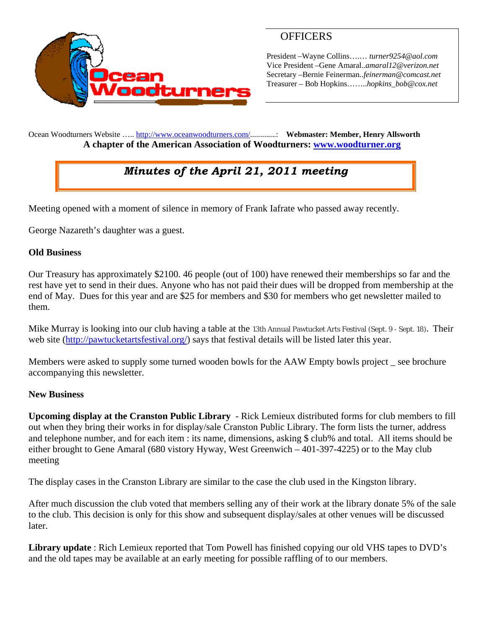

# **OFFICERS**

President –Wayne Collins….… *turner9254@aol.com*  Vice President –Gene Amaral..*amaral12@verizon.net* Secretary –Bernie Feinerman*..feinerman@comcast.net*  Treasurer – Bob Hopkins……..*hopkins\_bob@cox.net*

Ocean Woodturners Website ….. http://www.oceanwoodturners.com/.............: **Webmaster: Member, Henry Allsworth A chapter of the American Association of Woodturners: www.woodturner.org** 

# *Minutes of the April 21, 2011 meeting*

Meeting opened with a moment of silence in memory of Frank Iafrate who passed away recently.

George Nazareth's daughter was a guest.

#### **Old Business**

Our Treasury has approximately \$2100. 46 people (out of 100) have renewed their memberships so far and the rest have yet to send in their dues. Anyone who has not paid their dues will be dropped from membership at the end of May. Dues for this year and are \$25 for members and \$30 for members who get newsletter mailed to them.

Mike Murray is looking into our club having a table at the 13th Annual Pawtucket Arts Festival (Sept. 9 - Sept. 18)**.** Their web site (http://pawtucketartsfestival.org/) says that festival details will be listed later this year.

Members were asked to supply some turned wooden bowls for the AAW Empty bowls project \_ see brochure accompanying this newsletter.

#### **New Business**

**Upcoming display at the Cranston Public Library** - Rick Lemieux distributed forms for club members to fill out when they bring their works in for display/sale Cranston Public Library. The form lists the turner, address and telephone number, and for each item : its name, dimensions, asking \$ club% and total. All items should be either brought to Gene Amaral (680 vistory Hyway, West Greenwich – 401-397-4225) or to the May club meeting

The display cases in the Cranston Library are similar to the case the club used in the Kingston library.

After much discussion the club voted that members selling any of their work at the library donate 5% of the sale to the club. This decision is only for this show and subsequent display/sales at other venues will be discussed later.

**Library update** : Rich Lemieux reported that Tom Powell has finished copying our old VHS tapes to DVD's and the old tapes may be available at an early meeting for possible raffling of to our members.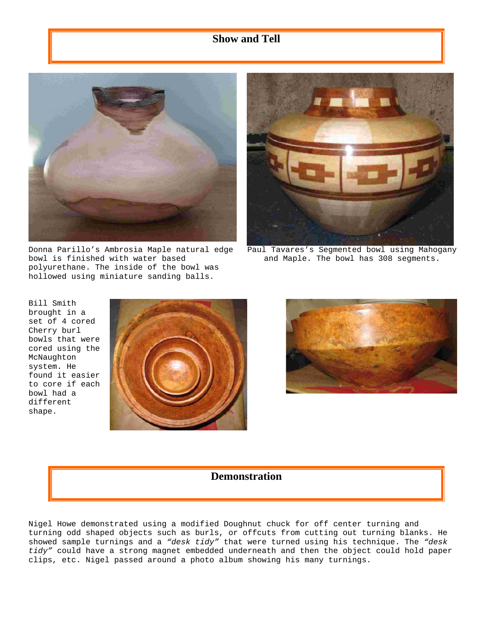## **Show and Tell**



Donna Parillo's Ambrosia Maple natural edge bowl is finished with water based polyurethane. The inside of the bowl was hollowed using miniature sanding balls.



Paul Tavares's Segmented bowl using Mahogany and Maple. The bowl has 308 segments.

Bill Smith brought in a set of 4 cored Cherry burl bowls that were cored using the McNaughton system. He found it easier to core if each bowl had a different shape.





### **Demonstration**

Nigel Howe demonstrated using a modified Doughnut chuck for off center turning and turning odd shaped objects such as burls, or offcuts from cutting out turning blanks. He showed sample turnings and a *"desk tidy"* that were turned using his technique. The *"desk tidy"* could have a strong magnet embedded underneath and then the object could hold paper clips, etc. Nigel passed around a photo album showing his many turnings.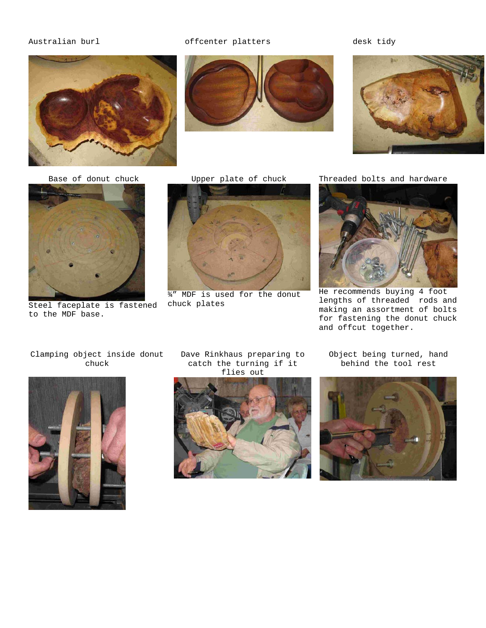#### Australian burl

offcenter platters desk tidy











Steel faceplate is fastened to the MDF base.



¾" MDF is used for the donut chuck plates

Base of donut chuck Upper plate of chuck Threaded bolts and hardware



He recommends buying 4 foot lengths of threaded rods and making an assortment of bolts for fastening the donut chuck and offcut together.

Clamping object inside donut chuck



Dave Rinkhaus preparing to catch the turning if it flies out



Object being turned, hand behind the tool rest